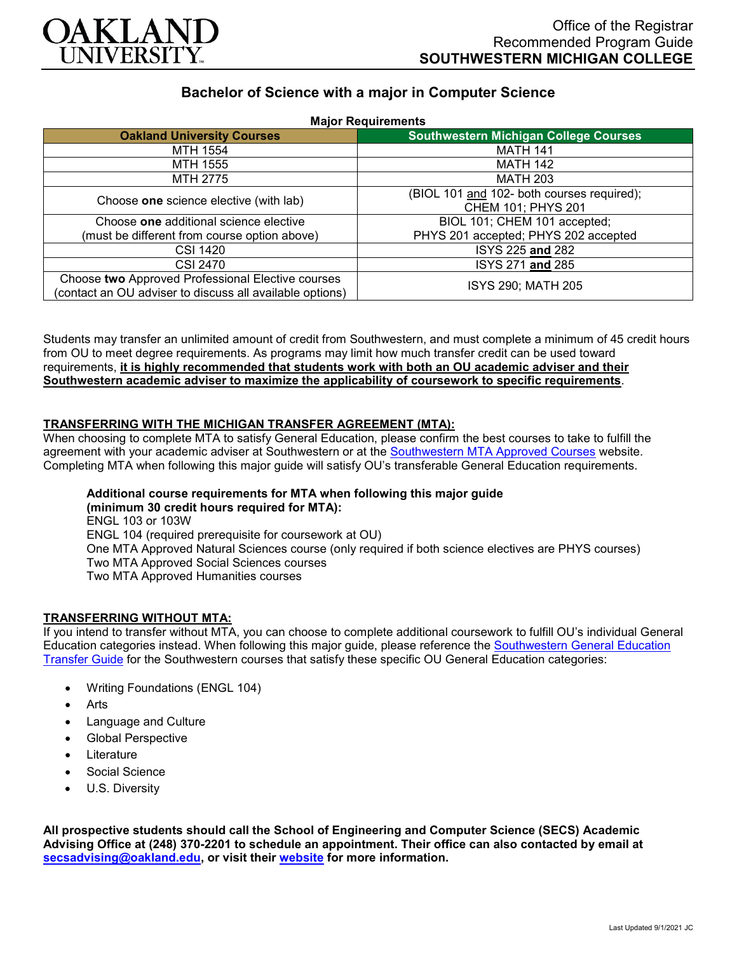

# **Bachelor of Science with a major in Computer Science**

| <b>Major Requirements</b>                                                                                     |                                              |
|---------------------------------------------------------------------------------------------------------------|----------------------------------------------|
| <b>Oakland University Courses</b>                                                                             | <b>Southwestern Michigan College Courses</b> |
| MTH 1554                                                                                                      | <b>MATH 141</b>                              |
| MTH 1555                                                                                                      | <b>MATH 142</b>                              |
| MTH 2775                                                                                                      | <b>MATH 203</b>                              |
| Choose one science elective (with lab)                                                                        | (BIOL 101 and 102- both courses required);   |
|                                                                                                               | CHEM 101; PHYS 201                           |
| Choose one additional science elective                                                                        | BIOL 101; CHEM 101 accepted;                 |
| (must be different from course option above)                                                                  | PHYS 201 accepted; PHYS 202 accepted         |
| <b>CSI 1420</b>                                                                                               | ISYS 225 and 282                             |
| <b>CSI 2470</b>                                                                                               | ISYS 271 and 285                             |
| Choose two Approved Professional Elective courses<br>(contact an OU adviser to discuss all available options) | ISYS 290; MATH 205                           |

Students may transfer an unlimited amount of credit from Southwestern, and must complete a minimum of 45 credit hours from OU to meet degree requirements. As programs may limit how much transfer credit can be used toward requirements, **it is highly recommended that students work with both an OU academic adviser and their Southwestern academic adviser to maximize the applicability of coursework to specific requirements**.

# **TRANSFERRING WITH THE MICHIGAN TRANSFER AGREEMENT (MTA):**

When choosing to complete MTA to satisfy General Education, please confirm the best courses to take to fulfill the agreement with your academic adviser at Southwestern or at the [Southwestern MTA Approved Courses](https://www.swmich.edu/media/website/content-assets/documents/mta-ADA.pdf) website. Completing MTA when following this major guide will satisfy OU's transferable General Education requirements.

#### **Additional course requirements for MTA when following this major guide (minimum 30 credit hours required for MTA):**

ENGL 103 or 103W ENGL 104 (required prerequisite for coursework at OU) One MTA Approved Natural Sciences course (only required if both science electives are PHYS courses) Two MTA Approved Social Sciences courses Two MTA Approved Humanities courses

### **TRANSFERRING WITHOUT MTA:**

If you intend to transfer without MTA, you can choose to complete additional coursework to fulfill OU's individual General Education categories instead. When following this major guide, please reference the [Southwestern General Education](https://www.oakland.edu/Assets/Oakland/program-guides/southwestern-michigan-college/university-general-education-requirements/Southwestern%20Gen%20Ed.pdf)  [Transfer Guide](https://www.oakland.edu/Assets/Oakland/program-guides/southwestern-michigan-college/university-general-education-requirements/Southwestern%20Gen%20Ed.pdf) for the Southwestern courses that satisfy these specific OU General Education categories:

- Writing Foundations (ENGL 104)
- Arts
- Language and Culture
- Global Perspective
- **Literature**
- Social Science
- U.S. Diversity

**All prospective students should call the School of Engineering and Computer Science (SECS) Academic Advising Office at (248) 370-2201 to schedule an appointment. Their office can also contacted by email at [secsadvising@oakland.edu,](mailto:secsadvising@oakland.edu) or visit their [website](https://wwwp.oakland.edu/secs/advising/) for more information.**